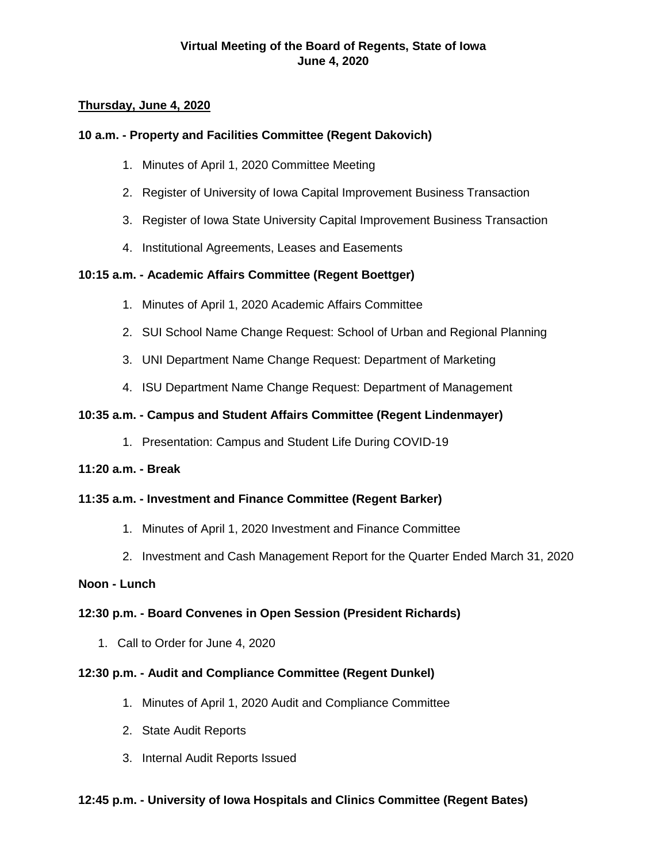# **Thursday, June 4, 2020**

# **10 a.m. - Property and Facilities Committee (Regent Dakovich)**

- 1. Minutes of April 1, 2020 Committee Meeting
- 2. Register of University of Iowa Capital Improvement Business Transaction
- 3. Register of Iowa State University Capital Improvement Business Transaction
- 4. Institutional Agreements, Leases and Easements

# **10:15 a.m. - Academic Affairs Committee (Regent Boettger)**

- 1. Minutes of April 1, 2020 Academic Affairs Committee
- 2. SUI School Name Change Request: School of Urban and Regional Planning
- 3. UNI Department Name Change Request: Department of Marketing
- 4. ISU Department Name Change Request: Department of Management

# **10:35 a.m. - Campus and Student Affairs Committee (Regent Lindenmayer)**

1. Presentation: Campus and Student Life During COVID-19

## **11:20 a.m. - Break**

# **11:35 a.m. - Investment and Finance Committee (Regent Barker)**

- 1. Minutes of April 1, 2020 Investment and Finance Committee
- 2. Investment and Cash Management Report for the Quarter Ended March 31, 2020

## **Noon - Lunch**

# **12:30 p.m. - Board Convenes in Open Session (President Richards)**

1. Call to Order for June 4, 2020

## **12:30 p.m. - Audit and Compliance Committee (Regent Dunkel)**

- 1. Minutes of April 1, 2020 Audit and Compliance Committee
- 2. State Audit Reports
- 3. Internal Audit Reports Issued

# **12:45 p.m. - University of Iowa Hospitals and Clinics Committee (Regent Bates)**